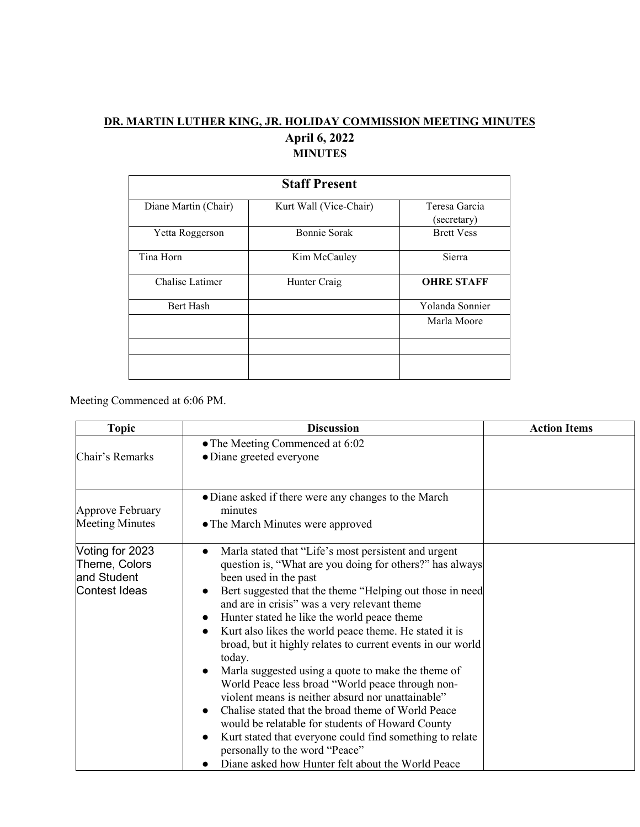## **DR. MARTIN LUTHER KING, JR. HOLIDAY COMMISSION MEETING MINUTES April 6, 2022 MINUTES**

| <b>Staff Present</b> |                        |                              |  |  |
|----------------------|------------------------|------------------------------|--|--|
| Diane Martin (Chair) | Kurt Wall (Vice-Chair) | Teresa Garcia<br>(secretary) |  |  |
| Yetta Roggerson      | <b>Bonnie Sorak</b>    | <b>Brett Vess</b>            |  |  |
| Tina Horn            | Kim McCauley           | Sierra                       |  |  |
| Chalise Latimer      | Hunter Craig           | <b>OHRE STAFF</b>            |  |  |
| Bert Hash            |                        | Yolanda Sonnier              |  |  |
|                      |                        | Marla Moore                  |  |  |
|                      |                        |                              |  |  |
|                      |                        |                              |  |  |

Meeting Commenced at 6:06 PM.

| <b>Topic</b>                                                     | <b>Discussion</b>                                                                                                                                                                                                                                                                                                                                                                                                                                                                                                                                                                                                                                                                                                                                                                                                                                                                                                                                              | <b>Action Items</b> |
|------------------------------------------------------------------|----------------------------------------------------------------------------------------------------------------------------------------------------------------------------------------------------------------------------------------------------------------------------------------------------------------------------------------------------------------------------------------------------------------------------------------------------------------------------------------------------------------------------------------------------------------------------------------------------------------------------------------------------------------------------------------------------------------------------------------------------------------------------------------------------------------------------------------------------------------------------------------------------------------------------------------------------------------|---------------------|
|                                                                  | • The Meeting Commenced at 6:02                                                                                                                                                                                                                                                                                                                                                                                                                                                                                                                                                                                                                                                                                                                                                                                                                                                                                                                                |                     |
| Chair's Remarks                                                  | • Diane greeted everyone                                                                                                                                                                                                                                                                                                                                                                                                                                                                                                                                                                                                                                                                                                                                                                                                                                                                                                                                       |                     |
| Approve February<br><b>Meeting Minutes</b>                       | • Diane asked if there were any changes to the March<br>minutes<br>• The March Minutes were approved                                                                                                                                                                                                                                                                                                                                                                                                                                                                                                                                                                                                                                                                                                                                                                                                                                                           |                     |
| Voting for 2023<br>Theme, Colors<br>and Student<br>Contest Ideas | Marla stated that "Life's most persistent and urgent<br>$\bullet$<br>question is, "What are you doing for others?" has always<br>been used in the past<br>Bert suggested that the theme "Helping out those in need<br>$\bullet$<br>and are in crisis" was a very relevant theme<br>Hunter stated he like the world peace theme<br>$\bullet$<br>Kurt also likes the world peace theme. He stated it is<br>$\bullet$<br>broad, but it highly relates to current events in our world<br>today.<br>Marla suggested using a quote to make the theme of<br>$\bullet$<br>World Peace less broad "World peace through non-<br>violent means is neither absurd nor unattainable"<br>Chalise stated that the broad theme of World Peace<br>$\bullet$<br>would be relatable for students of Howard County<br>Kurt stated that everyone could find something to relate<br>$\bullet$<br>personally to the word "Peace"<br>Diane asked how Hunter felt about the World Peace |                     |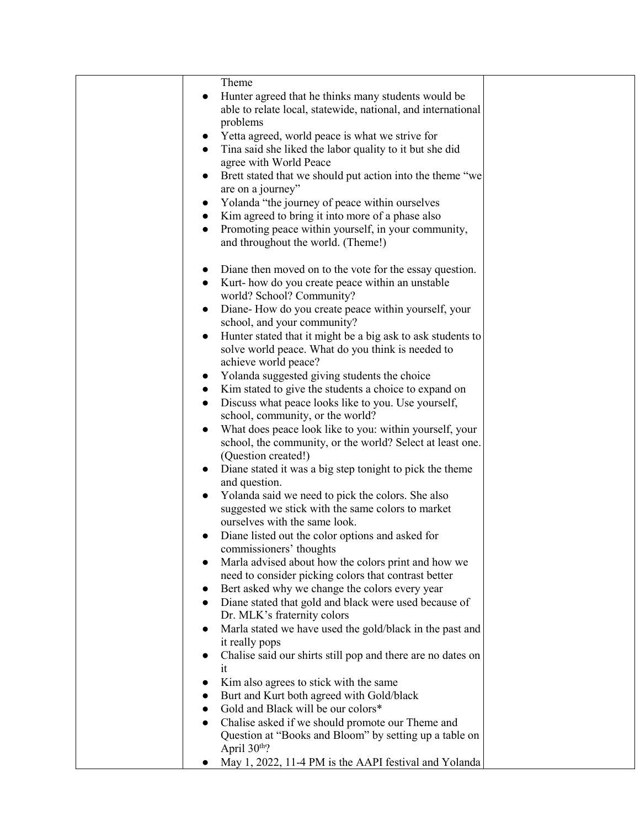| Theme                                                                                                       |  |
|-------------------------------------------------------------------------------------------------------------|--|
| Hunter agreed that he thinks many students would be<br>$\bullet$                                            |  |
| able to relate local, statewide, national, and international                                                |  |
| problems                                                                                                    |  |
| Yetta agreed, world peace is what we strive for<br>$\bullet$                                                |  |
| Tina said she liked the labor quality to it but she did<br>$\bullet$                                        |  |
| agree with World Peace                                                                                      |  |
| Brett stated that we should put action into the theme "we<br>$\bullet$                                      |  |
| are on a journey"                                                                                           |  |
| Yolanda "the journey of peace within ourselves<br>$\bullet$                                                 |  |
| Kim agreed to bring it into more of a phase also<br>$\bullet$                                               |  |
| Promoting peace within yourself, in your community,<br>$\bullet$                                            |  |
| and throughout the world. (Theme!)                                                                          |  |
| Diane then moved on to the vote for the essay question.                                                     |  |
| Kurt-how do you create peace within an unstable<br>$\bullet$                                                |  |
| world? School? Community?                                                                                   |  |
| Diane-How do you create peace within yourself, your<br>$\bullet$                                            |  |
| school, and your community?                                                                                 |  |
| Hunter stated that it might be a big ask to ask students to<br>$\bullet$                                    |  |
| solve world peace. What do you think is needed to                                                           |  |
| achieve world peace?                                                                                        |  |
| Yolanda suggested giving students the choice<br>$\bullet$                                                   |  |
| Kim stated to give the students a choice to expand on<br>$\bullet$                                          |  |
| Discuss what peace looks like to you. Use yourself,<br>$\bullet$                                            |  |
| school, community, or the world?                                                                            |  |
| What does peace look like to you: within yourself, your<br>$\bullet$                                        |  |
| school, the community, or the world? Select at least one.                                                   |  |
| (Question created!)                                                                                         |  |
| Diane stated it was a big step tonight to pick the theme<br>$\bullet$                                       |  |
| and question.                                                                                               |  |
| Yolanda said we need to pick the colors. She also<br>$\bullet$                                              |  |
| suggested we stick with the same colors to market                                                           |  |
| ourselves with the same look.                                                                               |  |
| Diane listed out the color options and asked for                                                            |  |
| commissioners' thoughts                                                                                     |  |
| Marla advised about how the colors print and how we<br>need to consider picking colors that contrast better |  |
| Bert asked why we change the colors every year                                                              |  |
| Diane stated that gold and black were used because of<br>$\bullet$                                          |  |
| Dr. MLK's fraternity colors                                                                                 |  |
| Marla stated we have used the gold/black in the past and                                                    |  |
| it really pops                                                                                              |  |
| Chalise said our shirts still pop and there are no dates on                                                 |  |
| it                                                                                                          |  |
| Kim also agrees to stick with the same                                                                      |  |
| Burt and Kurt both agreed with Gold/black                                                                   |  |
| Gold and Black will be our colors*                                                                          |  |
| Chalise asked if we should promote our Theme and                                                            |  |
| Question at "Books and Bloom" by setting up a table on                                                      |  |
| April 30th?                                                                                                 |  |
| May 1, 2022, 11-4 PM is the AAPI festival and Yolanda                                                       |  |
|                                                                                                             |  |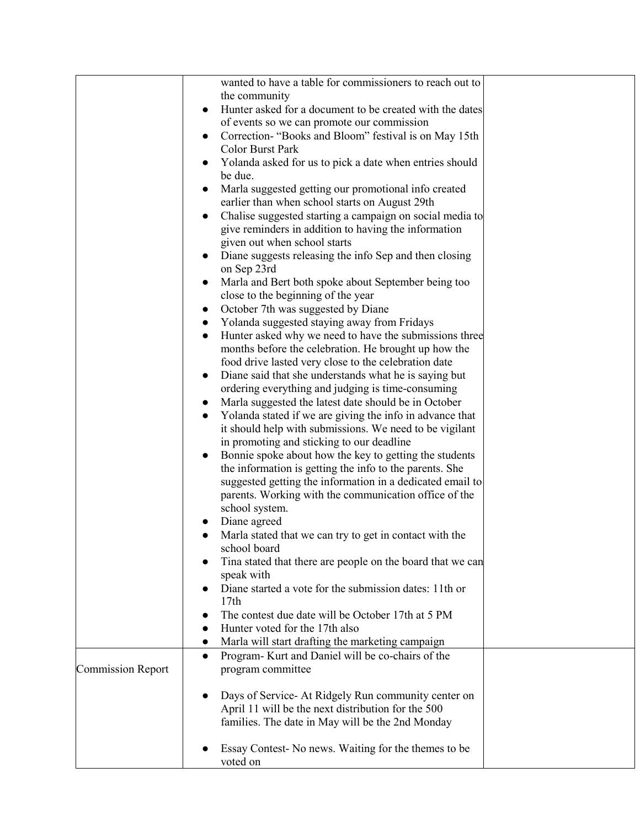|                          | wanted to have a table for commissioners to reach out to                              |  |
|--------------------------|---------------------------------------------------------------------------------------|--|
|                          | the community                                                                         |  |
|                          | Hunter asked for a document to be created with the dates<br>$\bullet$                 |  |
|                          | of events so we can promote our commission                                            |  |
|                          | Correction- "Books and Bloom" festival is on May 15th<br>$\bullet$                    |  |
|                          | Color Burst Park                                                                      |  |
|                          | Yolanda asked for us to pick a date when entries should<br>$\bullet$                  |  |
|                          | be due.                                                                               |  |
|                          | Marla suggested getting our promotional info created<br>$\bullet$                     |  |
|                          | earlier than when school starts on August 29th                                        |  |
|                          | Chalise suggested starting a campaign on social media to<br>$\bullet$                 |  |
|                          | give reminders in addition to having the information                                  |  |
|                          | given out when school starts                                                          |  |
|                          | Diane suggests releasing the info Sep and then closing<br>$\bullet$<br>on Sep 23rd    |  |
|                          | Marla and Bert both spoke about September being too<br>$\bullet$                      |  |
|                          | close to the beginning of the year                                                    |  |
|                          | October 7th was suggested by Diane                                                    |  |
|                          | Yolanda suggested staying away from Fridays<br>$\bullet$                              |  |
|                          | Hunter asked why we need to have the submissions three<br>$\bullet$                   |  |
|                          | months before the celebration. He brought up how the                                  |  |
|                          | food drive lasted very close to the celebration date                                  |  |
|                          | Diane said that she understands what he is saying but<br>$\bullet$                    |  |
|                          | ordering everything and judging is time-consuming                                     |  |
|                          | Marla suggested the latest date should be in October<br>$\bullet$                     |  |
|                          | Yolanda stated if we are giving the info in advance that                              |  |
|                          | it should help with submissions. We need to be vigilant                               |  |
|                          | in promoting and sticking to our deadline                                             |  |
|                          | Bonnie spoke about how the key to getting the students<br>$\bullet$                   |  |
|                          | the information is getting the info to the parents. She                               |  |
|                          | suggested getting the information in a dedicated email to                             |  |
|                          | parents. Working with the communication office of the                                 |  |
|                          | school system.                                                                        |  |
|                          | Diane agreed                                                                          |  |
|                          | Marla stated that we can try to get in contact with the                               |  |
|                          | school board                                                                          |  |
|                          | Tina stated that there are people on the board that we can<br>$\bullet$<br>speak with |  |
|                          | Diane started a vote for the submission dates: 11th or<br>$\bullet$                   |  |
|                          | 17th                                                                                  |  |
|                          | The contest due date will be October 17th at 5 PM<br>$\bullet$                        |  |
|                          | Hunter voted for the 17th also<br>$\bullet$                                           |  |
|                          | Marla will start drafting the marketing campaign<br>$\bullet$                         |  |
|                          | Program- Kurt and Daniel will be co-chairs of the<br>$\bullet$                        |  |
| <b>Commission Report</b> | program committee                                                                     |  |
|                          |                                                                                       |  |
|                          | Days of Service- At Ridgely Run community center on<br>$\bullet$                      |  |
|                          | April 11 will be the next distribution for the 500                                    |  |
|                          | families. The date in May will be the 2nd Monday                                      |  |
|                          |                                                                                       |  |
|                          | Essay Contest- No news. Waiting for the themes to be                                  |  |
|                          | voted on                                                                              |  |